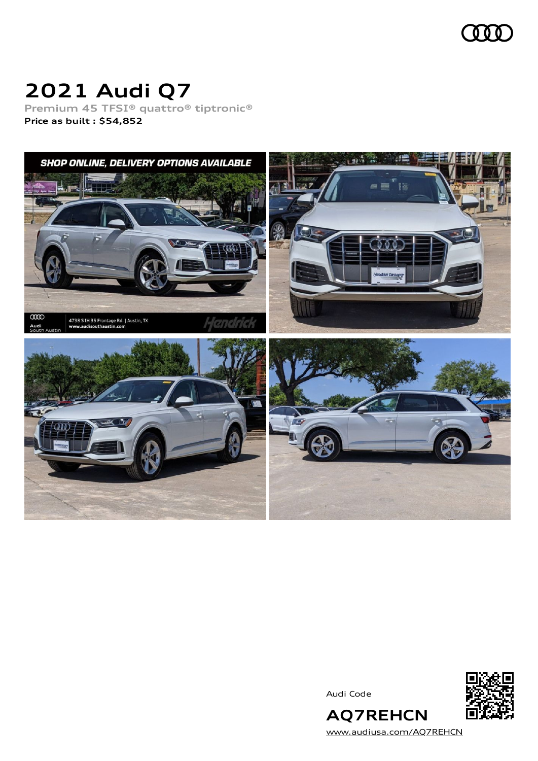

# **2021 Audi Q7**

**Premium 45 TFSI® quattro® tiptronic® Price as built [:](#page-10-0) \$54,852**



Audi Code



**AQ7REHCN** [www.audiusa.com/AQ7REHCN](https://www.audiusa.com/AQ7REHCN)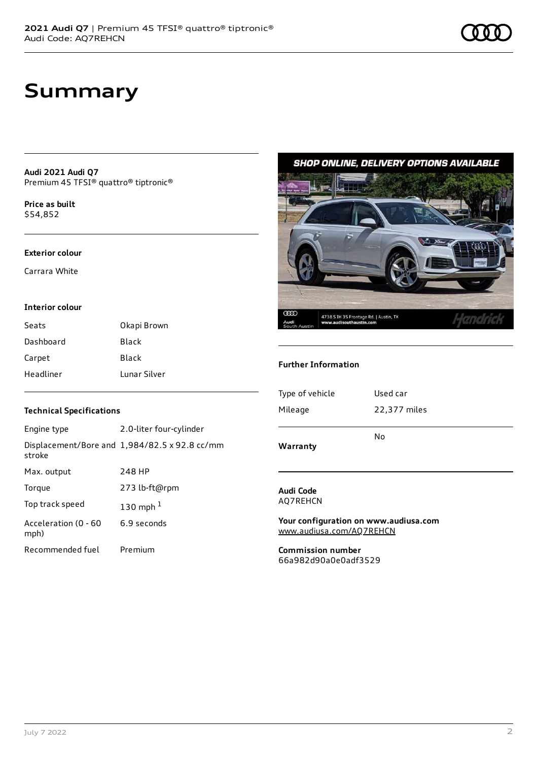**Audi 2021 Audi Q7** Premium 45 TFSI® quattro® tiptronic®

**Price as buil[t](#page-10-0)** \$54,852

#### **Exterior colour**

Carrara White

#### **Interior colour**

| Seats     | Okapi Brown  |
|-----------|--------------|
| Dashboard | Black        |
| Carpet    | Black        |
| Headliner | Lunar Silver |

### **Technical Specifications**

| Engine type                  | 2.0-liter four-cylinder                       |
|------------------------------|-----------------------------------------------|
| stroke                       | Displacement/Bore and 1,984/82.5 x 92.8 cc/mm |
| Max. output                  | 248 HP                                        |
| Torque                       | 273 lb-ft@rpm                                 |
| Top track speed              | 130 mph $1$                                   |
| Acceleration (0 - 60<br>mph) | 6.9 seconds                                   |
| Recommended fuel             | Premium                                       |

### **SHOP ONLINE, DELIVERY OPTIONS AVAILABLE**



#### **Further Information**

| Type of vehicle | Used car     |
|-----------------|--------------|
| Mileage         | 22,377 miles |
| Warranty        | No           |

#### **Audi Code** AQ7REHCN

**Your configuration on www.audiusa.com** [www.audiusa.com/AQ7REHCN](https://www.audiusa.com/AQ7REHCN)

**Commission number** 66a982d90a0e0adf3529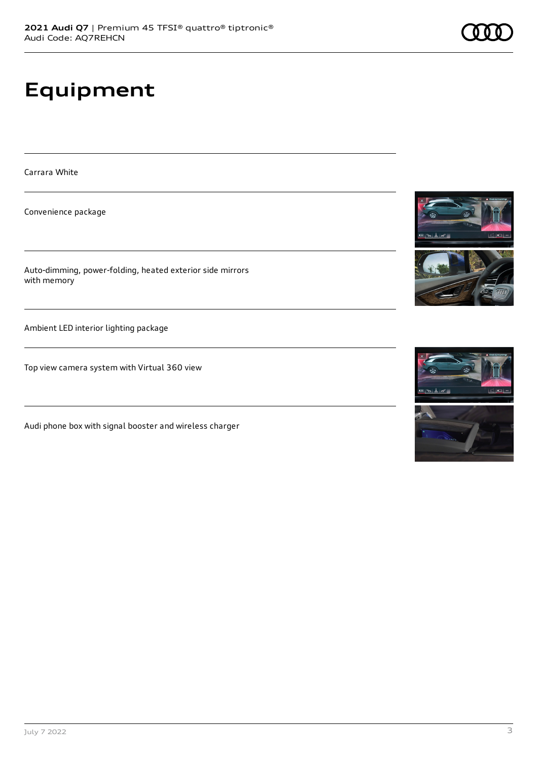# **Equipment**

Carrara White

Convenience package

Auto-dimming, power-folding, heated exterior side mirrors with memory

Ambient LED interior lighting package

Top view camera system with Virtual 360 view

Audi phone box with signal booster and wireless charger







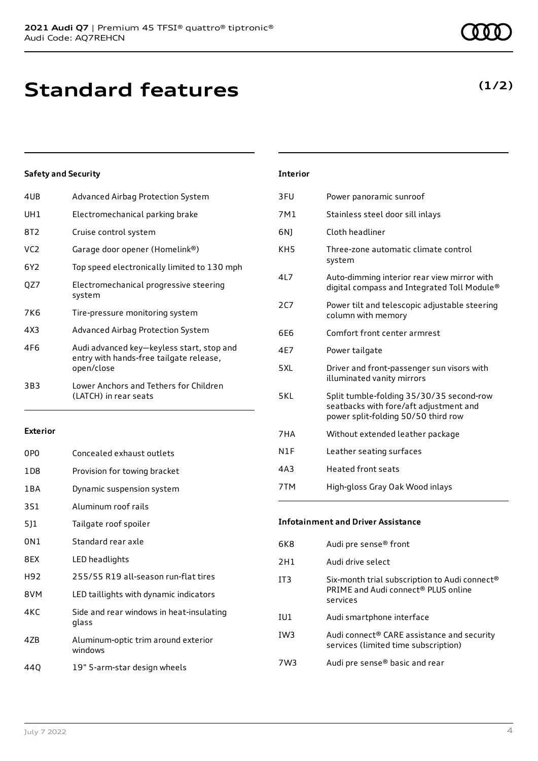| 4UB | Advanced Airbag Protection System                                                                  |
|-----|----------------------------------------------------------------------------------------------------|
| UH1 | Electromechanical parking brake                                                                    |
| 8T2 | Cruise control system                                                                              |
| VC2 | Garage door opener (Homelink®)                                                                     |
| 6Y2 | Top speed electronically limited to 130 mph                                                        |
| QZ7 | Electromechanical progressive steering<br>system                                                   |
| 7K6 | Tire-pressure monitoring system                                                                    |
| 4X3 | Advanced Airbag Protection System                                                                  |
| 4F6 | Audi advanced key-keyless start, stop and<br>entry with hands-free tailgate release,<br>open/close |
| 3B3 | Lower Anchors and Tethers for Children<br>(LATCH) in rear seats                                    |

#### **Exterior**

| 0PO   | Concealed exhaust outlets                         |
|-------|---------------------------------------------------|
| 1D8   | Provision for towing bracket                      |
| 1 B A | Dynamic suspension system                         |
| 3S1   | Aluminum roof rails                               |
| 511   | Tailgate roof spoiler                             |
| 0N1   | Standard rear axle                                |
| 8EX   | LED headlights                                    |
| H92   | 255/55 R19 all-season run-flat tires              |
| 8VM   | LED taillights with dynamic indicators            |
| 4KC   | Side and rear windows in heat-insulating<br>glass |
| 47B   | Aluminum-optic trim around exterior<br>windows    |
| 440   | 19" 5-arm-star design wheels                      |

### 3FU Power panoramic sunroof 7M1 Stainless steel door sill inlays 6NJ Cloth headliner KH5 Three-zone automatic climate control system 4L7 Auto-dimming interior rear view mirror with digital compass and Integrated Toll Module® 2C7 Power tilt and telescopic adjustable steering column with memory 6E6 Comfort front center armrest 4E7 Power tailgate 5XL Driver and front-passenger sun visors with illuminated vanity mirrors 5KL Split tumble-folding 35/30/35 second-row seatbacks with fore/aft adjustment and power split-folding 50/50 third row 7HA Without extended leather package N1F Leather seating surfaces 4A3 Heated front seats 7TM High-gloss Gray Oak Wood inlays

**Interior**

### **Infotainment and Driver Assistance**

| 6K8             | Audi pre sense <sup>®</sup> front                                                                                        |
|-----------------|--------------------------------------------------------------------------------------------------------------------------|
| 2H1             | Audi drive select                                                                                                        |
| IT3             | Six-month trial subscription to Audi connect <sup>®</sup><br>PRIME and Audi connect <sup>®</sup> PLUS online<br>services |
| IU1             | Audi smartphone interface                                                                                                |
| IW <sub>3</sub> | Audi connect® CARE assistance and security<br>services (limited time subscription)                                       |
| 7W3             | Audi pre sense® basic and rear                                                                                           |

### **(1/2)**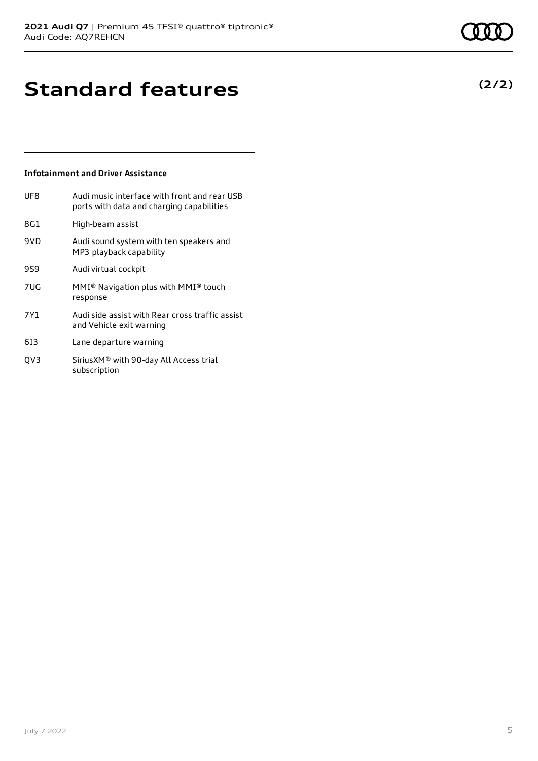## **Standard features**

### **Infotainment and Driver Assistance**

| UF8             | Audi music interface with front and rear USB<br>ports with data and charging capabilities |
|-----------------|-------------------------------------------------------------------------------------------|
| 8G1             | High-beam assist                                                                          |
| 9VD             | Audi sound system with ten speakers and<br>MP3 playback capability                        |
| 959             | Audi virtual cockpit                                                                      |
| 7U <sub>G</sub> | MMI <sup>®</sup> Navigation plus with MMI <sup>®</sup> touch<br>response                  |
| 7Y1             | Audi side assist with Rear cross traffic assist<br>and Vehicle exit warning               |
| 613             | Lane departure warning                                                                    |
|                 |                                                                                           |

QV3 SiriusXM® with 90-day All Access trial subscription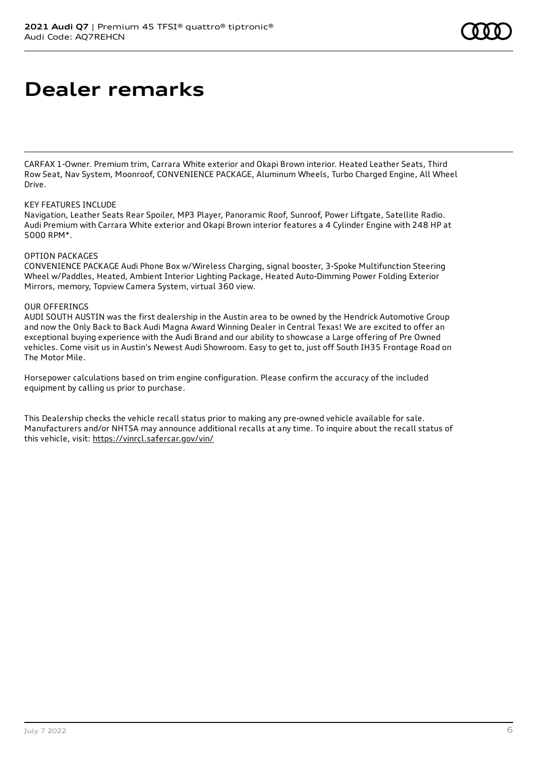### **Dealer remarks**

CARFAX 1-Owner. Premium trim, Carrara White exterior and Okapi Brown interior. Heated Leather Seats, Third Row Seat, Nav System, Moonroof, CONVENIENCE PACKAGE, Aluminum Wheels, Turbo Charged Engine, All Wheel Drive.

#### KEY FEATURES INCLUDE

Navigation, Leather Seats Rear Spoiler, MP3 Player, Panoramic Roof, Sunroof, Power Liftgate, Satellite Radio. Audi Premium with Carrara White exterior and Okapi Brown interior features a 4 Cylinder Engine with 248 HP at 5000 RPM\*.

#### OPTION PACKAGES

CONVENIENCE PACKAGE Audi Phone Box w/Wireless Charging, signal booster, 3-Spoke Multifunction Steering Wheel w/Paddles, Heated, Ambient Interior Lighting Package, Heated Auto-Dimming Power Folding Exterior Mirrors, memory, Topview Camera System, virtual 360 view.

### OUR OFFERINGS

AUDI SOUTH AUSTIN was the first dealership in the Austin area to be owned by the Hendrick Automotive Group and now the Only Back to Back Audi Magna Award Winning Dealer in Central Texas! We are excited to offer an exceptional buying experience with the Audi Brand and our ability to showcase a Large offering of Pre Owned vehicles. Come visit us in Austin's Newest Audi Showroom. Easy to get to, just off South IH35 Frontage Road on The Motor Mile.

Horsepower calculations based on trim engine configuration. Please confirm the accuracy of the included equipment by calling us prior to purchase.

This Dealership checks the vehicle recall status prior to making any pre-owned vehicle available for sale. Manufacturers and/or NHTSA may announce additional recalls at any time. To inquire about the recall status of this vehicle, visit: <https://vinrcl.safercar.gov/vin/>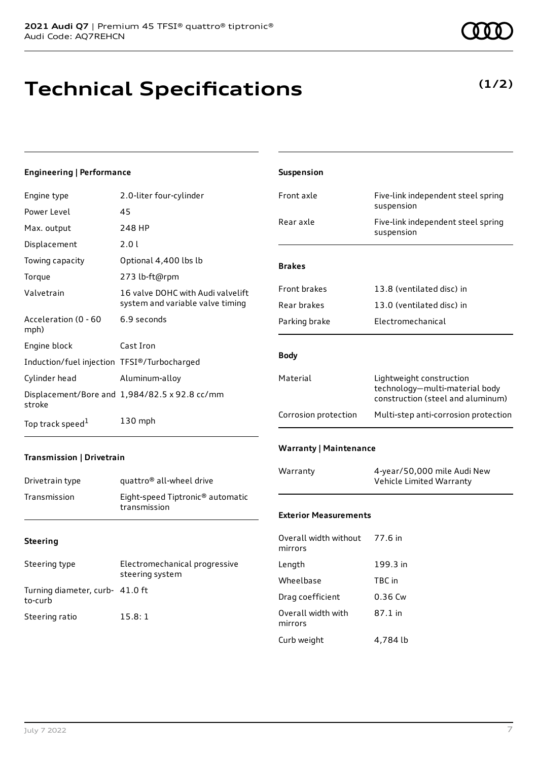# **Technical Specifications**

**(1/2)**

| Engineering   Performance                   |                                                                       | Suspension                       |                                                                     |
|---------------------------------------------|-----------------------------------------------------------------------|----------------------------------|---------------------------------------------------------------------|
| Engine type                                 | 2.0-liter four-cylinder                                               | Front axle                       | Five-link independent steel spring                                  |
| Power Level                                 | 45                                                                    |                                  | suspension                                                          |
| Max. output                                 | 248 HP                                                                | Rear axle                        | Five-link independent steel spring<br>suspension                    |
| Displacement                                | 2.01                                                                  |                                  |                                                                     |
| Towing capacity                             | Optional 4,400 lbs lb                                                 | <b>Brakes</b>                    |                                                                     |
| Torque                                      | 273 lb-ft@rpm                                                         |                                  |                                                                     |
| Valvetrain                                  | 16 valve DOHC with Audi valvelift<br>system and variable valve timing | Front brakes<br>Rear brakes      | 13.8 (ventilated disc) in<br>13.0 (ventilated disc) in              |
| Acceleration (0 - 60<br>mph)                | 6.9 seconds                                                           | Parking brake                    | Electromechanical                                                   |
| Engine block                                | Cast Iron                                                             |                                  |                                                                     |
| Induction/fuel injection TFSI®/Turbocharged |                                                                       | <b>Body</b>                      |                                                                     |
| Cylinder head                               | Aluminum-alloy                                                        | Material                         | Lightweight construction                                            |
| stroke                                      | Displacement/Bore and 1,984/82.5 x 92.8 cc/mm                         |                                  | technology-multi-material body<br>construction (steel and aluminum) |
| Top track speed <sup>1</sup>                | 130 mph                                                               | Corrosion protection             | Multi-step anti-corrosion protection                                |
| Transmission   Drivetrain                   |                                                                       | <b>Warranty   Maintenance</b>    |                                                                     |
| Drivetrain type                             | quattro <sup>®</sup> all-wheel drive                                  | Warranty                         | 4-year/50,000 mile Audi New<br>Vehicle Limited Warranty             |
| Transmission                                | Eight-speed Tiptronic <sup>®</sup> automatic<br>transmission          | <b>Exterior Measurements</b>     |                                                                     |
| <b>Steering</b>                             |                                                                       | Overall width without<br>mirrors | 77.6 in                                                             |
| Steering type                               | Electromechanical progressive<br>steering system                      | Length                           | 199.3 in                                                            |
|                                             |                                                                       | Wheelbase                        | TBC in                                                              |
| Turning diameter, curb- 41.0 ft<br>to-curb  |                                                                       | Drag coefficient                 | 0.36 Cw                                                             |
| Steering ratio                              | 15.8:1                                                                | Overall width with<br>mirrors    | 87.1 in                                                             |
|                                             |                                                                       | Curb weight                      | 4,784 lb                                                            |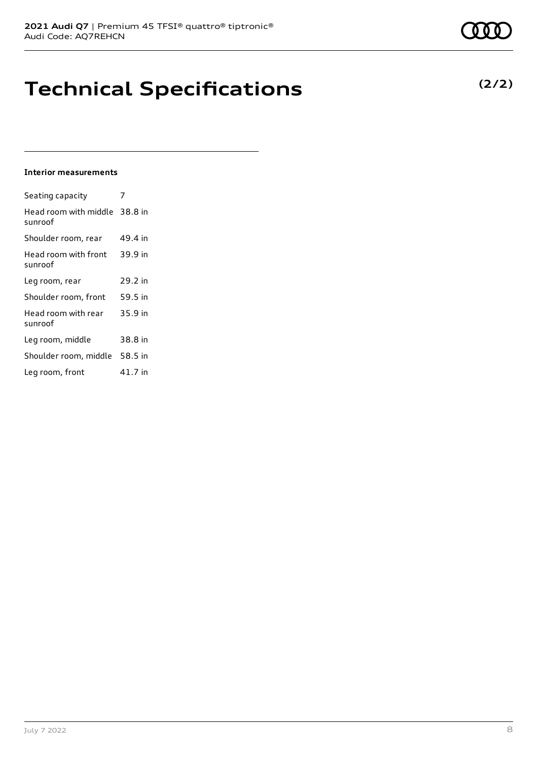## **Technical Specifications**

#### **Interior measurements**

| Seating capacity                         |         |
|------------------------------------------|---------|
| Head room with middle 38.8 in<br>sunroof |         |
| Shoulder room, rear                      | 49.4 in |
| Head room with front<br>sunroof          | 39.9 in |
| Leg room, rear                           | 29.2 in |
| Shoulder room, front                     | 59.5 in |
| Head room with rear<br>sunroof           | 35.9 in |
| Leg room, middle                         | 38.8 in |
| Shoulder room, middle 58.5 in            |         |
| Leg room, front                          | 41.7 in |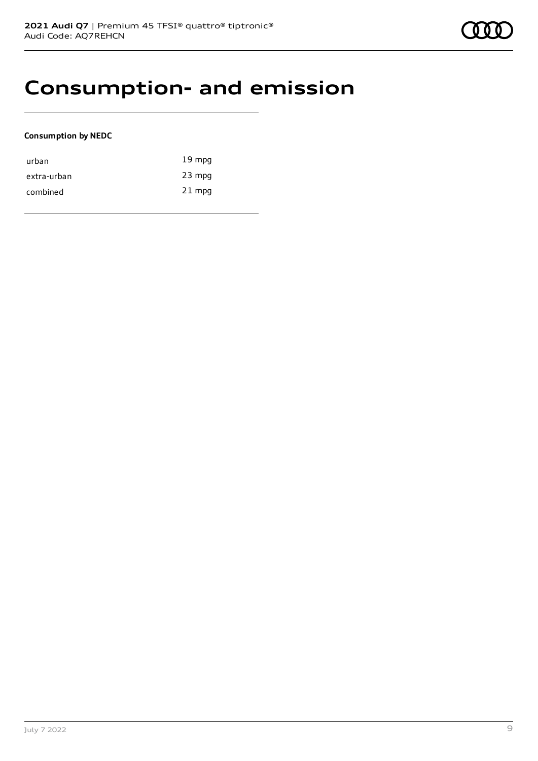### **Consumption- and emission**

### **Consumption by NEDC**

| urban       | $19 \text{ mpg}$ |
|-------------|------------------|
| extra-urban | $23$ mpg         |
| combined    | $21$ mpg         |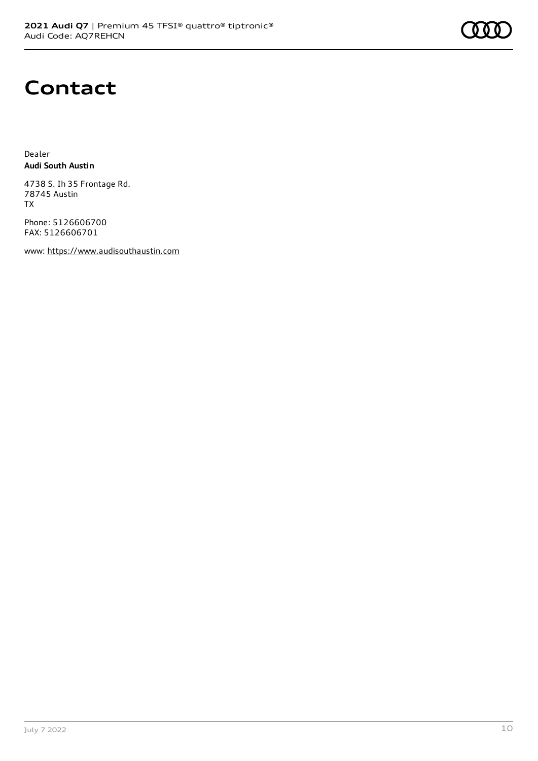### **Contact**

Dealer **Audi South Austin**

4738 S. Ih 35 Frontage Rd. 78745 Austin TX

Phone: 5126606700 FAX: 5126606701

www: [https://www.audisouthaustin.com](https://www.audisouthaustin.com/)